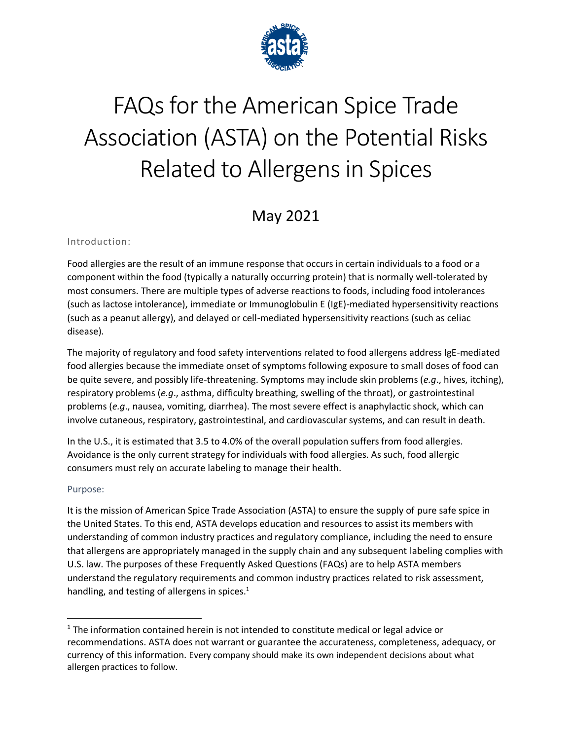

# FAQs for the American Spice Trade Association (ASTA) on the Potential Risks Related to Allergens in Spices

# May 2021

#### Introduction:

Food allergies are the result of an immune response that occurs in certain individuals to a food or a component within the food (typically a naturally occurring protein) that is normally well-tolerated by most consumers. There are multiple types of adverse reactions to foods, including food intolerances (such as lactose intolerance), immediate or Immunoglobulin E (IgE)-mediated hypersensitivity reactions (such as a peanut allergy), and delayed or cell-mediated hypersensitivity reactions (such as celiac disease).

The majority of regulatory and food safety interventions related to food allergens address IgE-mediated food allergies because the immediate onset of symptoms following exposure to small doses of food can be quite severe, and possibly life-threatening. Symptoms may include skin problems (*e.g*., hives, itching), respiratory problems (*e.g*., asthma, difficulty breathing, swelling of the throat), or gastrointestinal problems (*e.g*., nausea, vomiting, diarrhea). The most severe effect is anaphylactic shock, which can involve cutaneous, respiratory, gastrointestinal, and cardiovascular systems, and can result in death.

In the U.S., it is estimated that 3.5 to 4.0% of the overall population suffers from food allergies. Avoidance is the only current strategy for individuals with food allergies. As such, food allergic consumers must rely on accurate labeling to manage their health.

#### Purpose:

It is the mission of American Spice Trade Association (ASTA) to ensure the supply of pure safe spice in the United States. To this end, ASTA develops education and resources to assist its members with understanding of common industry practices and regulatory compliance, including the need to ensure that allergens are appropriately managed in the supply chain and any subsequent labeling complies with U.S. law. The purposes of these Frequently Asked Questions (FAQs) are to help ASTA members understand the regulatory requirements and common industry practices related to risk assessment, handling, and testing of allergens in spices.<sup>1</sup>

 $1$  The information contained herein is not intended to constitute medical or legal advice or recommendations. ASTA does not warrant or guarantee the accurateness, completeness, adequacy, or currency of this information. Every company should make its own independent decisions about what allergen practices to follow.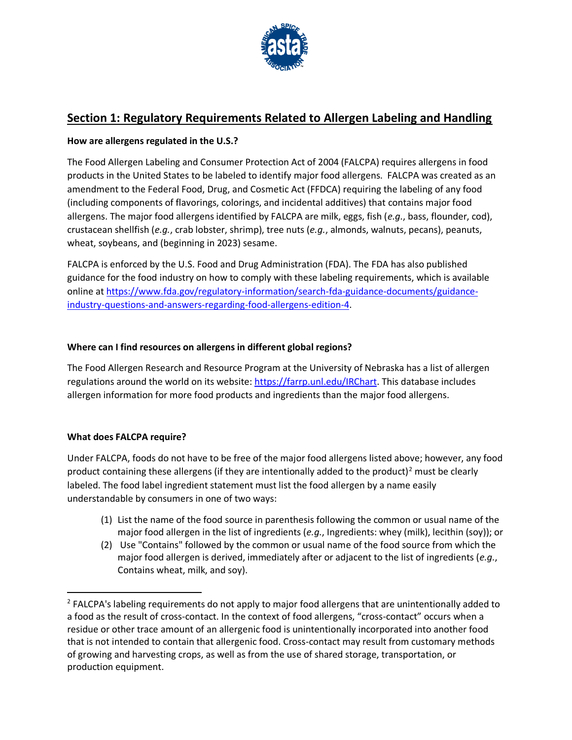

# **Section 1: Regulatory Requirements Related to Allergen Labeling and Handling**

#### **How are allergens regulated in the U.S.?**

The Food Allergen Labeling and Consumer Protection Act of 2004 (FALCPA) requires allergens in food products in the United States to be labeled to identify major food allergens. FALCPA was created as an amendment to the Federal Food, Drug, and Cosmetic Act (FFDCA) requiring the labeling of any food (including components of flavorings, colorings, and incidental additives) that contains major food allergens. The major food allergens identified by FALCPA are milk, eggs, fish (*e.g.*, bass, flounder, cod), crustacean shellfish (*e.g.*, crab lobster, shrimp), tree nuts (*e.g.*, almonds, walnuts, pecans), peanuts, wheat, soybeans, and (beginning in 2023) sesame.

FALCPA is enforced by the U.S. Food and Drug Administration (FDA). The FDA has also published guidance for the food industry on how to comply with these labeling requirements, which is available online at [https://www.fda.gov/regulatory-information/search-fda-guidance-documents/guidance](https://www.fda.gov/regulatory-information/search-fda-guidance-documents/guidance-industry-questions-and-answers-regarding-food-allergens-edition-4)[industry-questions-and-answers-regarding-food-allergens-edition-4.](https://www.fda.gov/regulatory-information/search-fda-guidance-documents/guidance-industry-questions-and-answers-regarding-food-allergens-edition-4)

#### **Where can I find resources on allergens in different global regions?**

The Food Allergen Research and Resource Program at the University of Nebraska has a list of allergen regulations around the world on its website[: https://farrp.unl.edu/IRChart.](https://farrp.unl.edu/IRChart) This database includes allergen information for more food products and ingredients than the major food allergens.

#### **What does FALCPA require?**

Under FALCPA, foods do not have to be free of the major food allergens listed above; however, any food product containing these allergens (if they are intentionally added to the product)<sup>2</sup> must be clearly labeled. The food label ingredient statement must list the food allergen by a name easily understandable by consumers in one of two ways:

- (1) List the name of the food source in parenthesis following the common or usual name of the major food allergen in the list of ingredients (*e.g.*, Ingredients: whey (milk), lecithin (soy)); or
- (2) Use "Contains" followed by the common or usual name of the food source from which the major food allergen is derived, immediately after or adjacent to the list of ingredients (*e.g.*, Contains wheat, milk, and soy).

<sup>&</sup>lt;sup>2</sup> FALCPA's labeling requirements do not apply to major food allergens that are unintentionally added to a food as the result of cross-contact. In the context of food allergens, "cross-contact" occurs when a residue or other trace amount of an allergenic food is unintentionally incorporated into another food that is not intended to contain that allergenic food. Cross-contact may result from customary methods of growing and harvesting crops, as well as from the use of shared storage, transportation, or production equipment.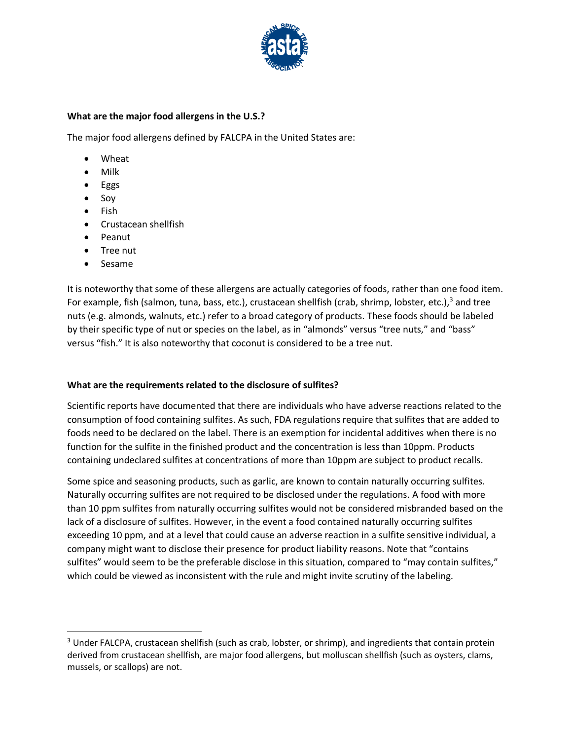

#### **What are the major food allergens in the U.S.?**

The major food allergens defined by FALCPA in the United States are:

- Wheat
- Milk
- Eggs
- Soy
- Fish
- Crustacean shellfish
- Peanut
- Tree nut
- Sesame

It is noteworthy that some of these allergens are actually categories of foods, rather than one food item. For example, fish (salmon, tuna, bass, etc.), crustacean shellfish (crab, shrimp, lobster, etc.),<sup>3</sup> and tree nuts (e.g. almonds, walnuts, etc.) refer to a broad category of products. These foods should be labeled by their specific type of nut or species on the label, as in "almonds" versus "tree nuts," and "bass" versus "fish." It is also noteworthy that coconut is considered to be a tree nut.

#### **What are the requirements related to the disclosure of sulfites?**

Scientific reports have documented that there are individuals who have adverse reactions related to the consumption of food containing sulfites. As such, FDA regulations require that sulfites that are added to foods need to be declared on the label. There is an exemption for incidental additives when there is no function for the sulfite in the finished product and the concentration is less than 10ppm. Products containing undeclared sulfites at concentrations of more than 10ppm are subject to product recalls.

Some spice and seasoning products, such as garlic, are known to contain naturally occurring sulfites. Naturally occurring sulfites are not required to be disclosed under the regulations. A food with more than 10 ppm sulfites from naturally occurring sulfites would not be considered misbranded based on the lack of a disclosure of sulfites. However, in the event a food contained naturally occurring sulfites exceeding 10 ppm, and at a level that could cause an adverse reaction in a sulfite sensitive individual, a company might want to disclose their presence for product liability reasons. Note that "contains sulfites" would seem to be the preferable disclose in this situation, compared to "may contain sulfites," which could be viewed as inconsistent with the rule and might invite scrutiny of the labeling.

<sup>&</sup>lt;sup>3</sup> Under FALCPA, crustacean shellfish (such as crab, lobster, or shrimp), and ingredients that contain protein derived from crustacean shellfish, are major food allergens, but molluscan shellfish (such as oysters, clams, mussels, or scallops) are not.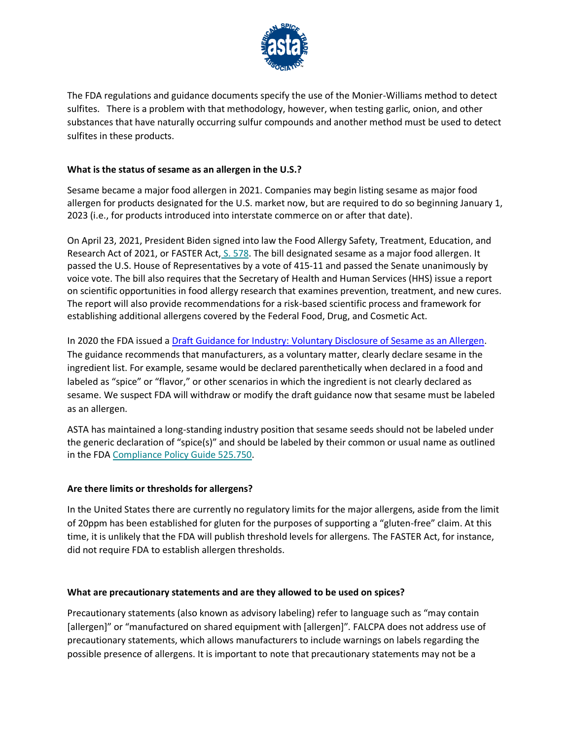

The FDA regulations and guidance documents specify the use of the Monier-Williams method to detect sulfites. There is a problem with that methodology, however, when testing garlic, onion, and other substances that have naturally occurring sulfur compounds and another method must be used to detect sulfites in these products.

#### **What is the status of sesame as an allergen in the U.S.?**

Sesame became a major food allergen in 2021. Companies may begin listing sesame as major food allergen for products designated for the U.S. market now, but are required to do so beginning January 1, 2023 (i.e., for products introduced into interstate commerce on or after that date).

On April 23, 2021, President Biden signed into law the Food Allergy Safety, Treatment, Education, and Research Act of 2021, or FASTER Act, [S. 578.](https://astaspice.us17.list-manage.com/track/click?u=8672854ec29821ac7cdd5a91e&id=691d99297d&e=ff6898e5ee) The bill designated sesame as a major food allergen. It passed the U.S. House of Representatives by a vote of 415-11 and passed the Senate unanimously by voice vote. The bill also requires that the Secretary of Health and Human Services (HHS) issue a report on scientific opportunities in food allergy research that examines prevention, treatment, and new cures. The report will also provide recommendations for a risk-based scientific process and framework for establishing additional allergens covered by the Federal Food, Drug, and Cosmetic Act.

In 2020 the FDA issued a [Draft Guidance for Industry: Voluntary Disclosure of Sesame as an Allergen.](https://www.fda.gov/regulatory-information/search-fda-guidance-documents/draft-guidance-industry-voluntary-disclosure-sesame-allergen) The guidance recommends that manufacturers, as a voluntary matter, clearly declare sesame in the ingredient list. For example, sesame would be declared parenthetically when declared in a food and labeled as "spice" or "flavor," or other scenarios in which the ingredient is not clearly declared as sesame. We suspect FDA will withdraw or modify the draft guidance now that sesame must be labeled as an allergen.

ASTA has maintained a long-standing industry position that sesame seeds should not be labeled under the generic declaration of "spice(s)" and should be labeled by their common or usual name as outlined in the FDA [Compliance Policy Guide 525.750.](https://astaspice.us17.list-manage.com/track/click?u=8672854ec29821ac7cdd5a91e&id=93d0928a7f&e=ff6898e5ee)

#### **Are there limits or thresholds for allergens?**

In the United States there are currently no regulatory limits for the major allergens, aside from the limit of 20ppm has been established for gluten for the purposes of supporting a "gluten-free" claim. At this time, it is unlikely that the FDA will publish threshold levels for allergens. The FASTER Act, for instance, did not require FDA to establish allergen thresholds.

#### **What are precautionary statements and are they allowed to be used on spices?**

Precautionary statements (also known as advisory labeling) refer to language such as "may contain [allergen]" or "manufactured on shared equipment with [allergen]". FALCPA does not address use of precautionary statements, which allows manufacturers to include warnings on labels regarding the possible presence of allergens. It is important to note that precautionary statements may not be a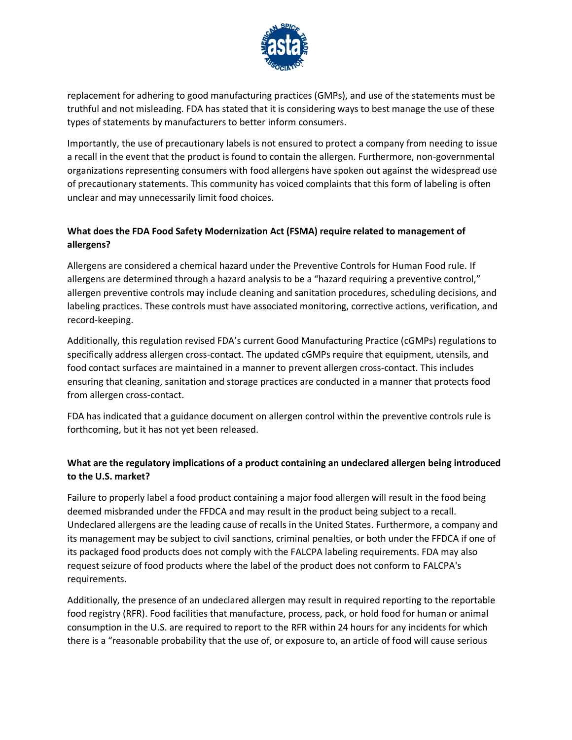

replacement for adhering to good manufacturing practices (GMPs), and use of the statements must be truthful and not misleading. FDA has stated that it is considering ways to best manage the use of these types of statements by manufacturers to better inform consumers.

Importantly, the use of precautionary labels is not ensured to protect a company from needing to issue a recall in the event that the product is found to contain the allergen. Furthermore, non-governmental organizations representing consumers with food allergens have spoken out against the widespread use of precautionary statements. This community has voiced complaints that this form of labeling is often unclear and may unnecessarily limit food choices.

#### **What does the FDA Food Safety Modernization Act (FSMA) require related to management of allergens?**

Allergens are considered a chemical hazard under the Preventive Controls for Human Food rule. If allergens are determined through a hazard analysis to be a "hazard requiring a preventive control," allergen preventive controls may include cleaning and sanitation procedures, scheduling decisions, and labeling practices. These controls must have associated monitoring, corrective actions, verification, and record-keeping.

Additionally, this regulation revised FDA's current Good Manufacturing Practice (cGMPs) regulations to specifically address allergen cross-contact. The updated cGMPs require that equipment, utensils, and food contact surfaces are maintained in a manner to prevent allergen cross-contact. This includes ensuring that cleaning, sanitation and storage practices are conducted in a manner that protects food from allergen cross-contact.

FDA has indicated that a guidance document on allergen control within the preventive controls rule is forthcoming, but it has not yet been released.

#### **What are the regulatory implications of a product containing an undeclared allergen being introduced to the U.S. market?**

Failure to properly label a food product containing a major food allergen will result in the food being deemed misbranded under the FFDCA and may result in the product being subject to a recall. Undeclared allergens are the leading cause of recalls in the United States. Furthermore, a company and its management may be subject to civil sanctions, criminal penalties, or both under the FFDCA if one of its packaged food products does not comply with the FALCPA labeling requirements. FDA may also request seizure of food products where the label of the product does not conform to FALCPA's requirements.

Additionally, the presence of an undeclared allergen may result in required reporting to the reportable food registry (RFR). Food facilities that manufacture, process, pack, or hold food for human or animal consumption in the U.S. are required to report to the RFR within 24 hours for any incidents for which there is a "reasonable probability that the use of, or exposure to, an article of food will cause serious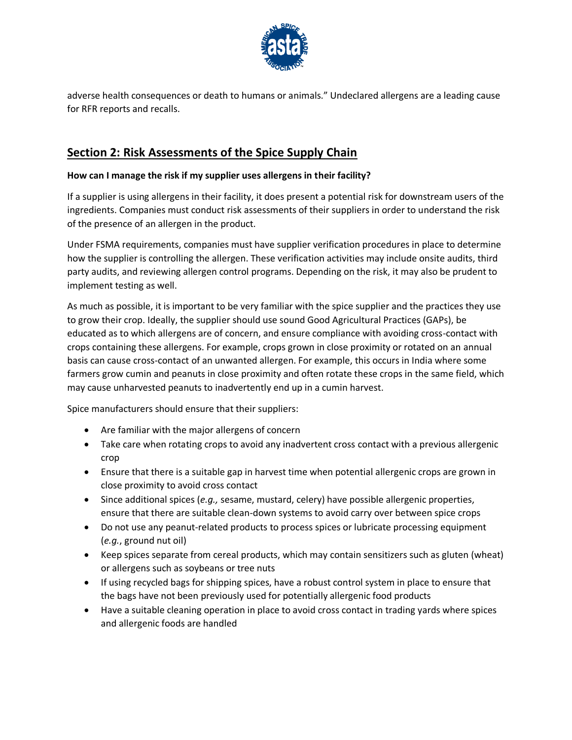

adverse health consequences or death to humans or animals." Undeclared allergens are a leading cause for RFR reports and recalls.

## **Section 2: Risk Assessments of the Spice Supply Chain**

#### **How can I manage the risk if my supplier uses allergens in their facility?**

If a supplier is using allergens in their facility, it does present a potential risk for downstream users of the ingredients. Companies must conduct risk assessments of their suppliers in order to understand the risk of the presence of an allergen in the product.

Under FSMA requirements, companies must have supplier verification procedures in place to determine how the supplier is controlling the allergen. These verification activities may include onsite audits, third party audits, and reviewing allergen control programs. Depending on the risk, it may also be prudent to implement testing as well.

As much as possible, it is important to be very familiar with the spice supplier and the practices they use to grow their crop. Ideally, the supplier should use sound Good Agricultural Practices (GAPs), be educated as to which allergens are of concern, and ensure compliance with avoiding cross-contact with crops containing these allergens. For example, crops grown in close proximity or rotated on an annual basis can cause cross-contact of an unwanted allergen. For example, this occurs in India where some farmers grow cumin and peanuts in close proximity and often rotate these crops in the same field, which may cause unharvested peanuts to inadvertently end up in a cumin harvest.

Spice manufacturers should ensure that their suppliers:

- Are familiar with the major allergens of concern
- Take care when rotating crops to avoid any inadvertent cross contact with a previous allergenic crop
- Ensure that there is a suitable gap in harvest time when potential allergenic crops are grown in close proximity to avoid cross contact
- Since additional spices (*e.g.,* sesame, mustard, celery) have possible allergenic properties, ensure that there are suitable clean-down systems to avoid carry over between spice crops
- Do not use any peanut-related products to process spices or lubricate processing equipment (*e.g.*, ground nut oil)
- Keep spices separate from cereal products, which may contain sensitizers such as gluten (wheat) or allergens such as soybeans or tree nuts
- If using recycled bags for shipping spices, have a robust control system in place to ensure that the bags have not been previously used for potentially allergenic food products
- Have a suitable cleaning operation in place to avoid cross contact in trading yards where spices and allergenic foods are handled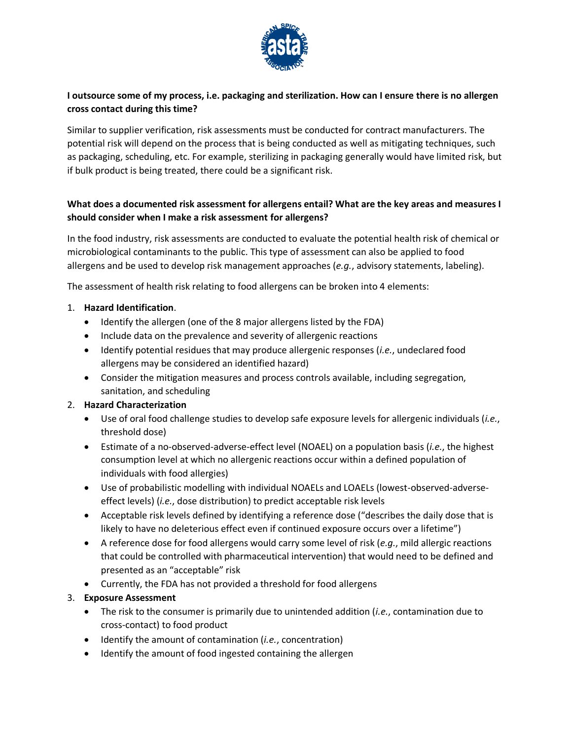

#### **I outsource some of my process, i.e. packaging and sterilization. How can I ensure there is no allergen cross contact during this time?**

Similar to supplier verification, risk assessments must be conducted for contract manufacturers. The potential risk will depend on the process that is being conducted as well as mitigating techniques, such as packaging, scheduling, etc. For example, sterilizing in packaging generally would have limited risk, but if bulk product is being treated, there could be a significant risk.

#### **What does a documented risk assessment for allergens entail? What are the key areas and measures I should consider when I make a risk assessment for allergens?**

In the food industry, risk assessments are conducted to evaluate the potential health risk of chemical or microbiological contaminants to the public. This type of assessment can also be applied to food allergens and be used to develop risk management approaches (*e.g.*, advisory statements, labeling).

The assessment of health risk relating to food allergens can be broken into 4 elements:

#### 1. **Hazard Identification**.

- Identify the allergen (one of the 8 major allergens listed by the FDA)
- Include data on the prevalence and severity of allergenic reactions
- Identify potential residues that may produce allergenic responses (*i.e.*, undeclared food allergens may be considered an identified hazard)
- Consider the mitigation measures and process controls available, including segregation, sanitation, and scheduling

#### 2. **Hazard Characterization**

- Use of oral food challenge studies to develop safe exposure levels for allergenic individuals (*i.e.*, threshold dose)
- Estimate of a no-observed-adverse-effect level (NOAEL) on a population basis (*i.e.*, the highest consumption level at which no allergenic reactions occur within a defined population of individuals with food allergies)
- Use of probabilistic modelling with individual NOAELs and LOAELs (lowest-observed-adverseeffect levels) (*i.e.*, dose distribution) to predict acceptable risk levels
- Acceptable risk levels defined by identifying a reference dose ("describes the daily dose that is likely to have no deleterious effect even if continued exposure occurs over a lifetime")
- A reference dose for food allergens would carry some level of risk (*e.g.*, mild allergic reactions that could be controlled with pharmaceutical intervention) that would need to be defined and presented as an "acceptable" risk
- Currently, the FDA has not provided a threshold for food allergens

#### 3. **Exposure Assessment**

- The risk to the consumer is primarily due to unintended addition (*i.e.*, contamination due to cross-contact) to food product
- Identify the amount of contamination (*i.e.*, concentration)
- Identify the amount of food ingested containing the allergen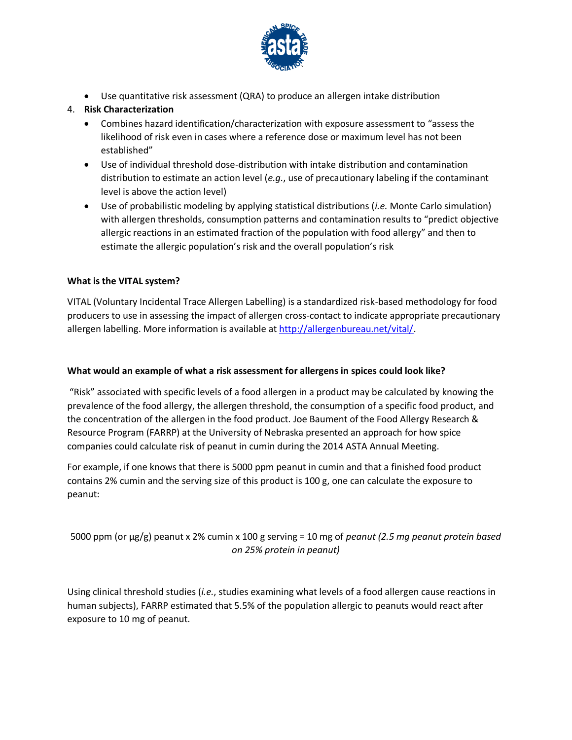

• Use quantitative risk assessment (QRA) to produce an allergen intake distribution

#### 4. **Risk Characterization**

- Combines hazard identification/characterization with exposure assessment to "assess the likelihood of risk even in cases where a reference dose or maximum level has not been established"
- Use of individual threshold dose-distribution with intake distribution and contamination distribution to estimate an action level (*e.g.*, use of precautionary labeling if the contaminant level is above the action level)
- Use of probabilistic modeling by applying statistical distributions (*i.e.* Monte Carlo simulation) with allergen thresholds, consumption patterns and contamination results to "predict objective allergic reactions in an estimated fraction of the population with food allergy" and then to estimate the allergic population's risk and the overall population's risk

#### **What is the VITAL system?**

VITAL (Voluntary Incidental Trace Allergen Labelling) is a standardized risk-based methodology for food producers to use in assessing the impact of allergen cross-contact to indicate appropriate precautionary allergen labelling. More information is available at [http://allergenbureau.net/vital/.](http://allergenbureau.net/vital/)

#### **What would an example of what a risk assessment for allergens in spices could look like?**

"Risk" associated with specific levels of a food allergen in a product may be calculated by knowing the prevalence of the food allergy, the allergen threshold, the consumption of a specific food product, and the concentration of the allergen in the food product. Joe Baument of the Food Allergy Research & Resource Program (FARRP) at the University of Nebraska presented an approach for how spice companies could calculate risk of peanut in cumin during the 2014 ASTA Annual Meeting.

For example, if one knows that there is 5000 ppm peanut in cumin and that a finished food product contains 2% cumin and the serving size of this product is 100 g, one can calculate the exposure to peanut:

#### 5000 ppm (or µg/g) peanut x 2% cumin x 100 g serving = 10 mg of *peanut (2.5 mg peanut protein based on 25% protein in peanut)*

Using clinical threshold studies (*i.e.*, studies examining what levels of a food allergen cause reactions in human subjects), FARRP estimated that 5.5% of the population allergic to peanuts would react after exposure to 10 mg of peanut.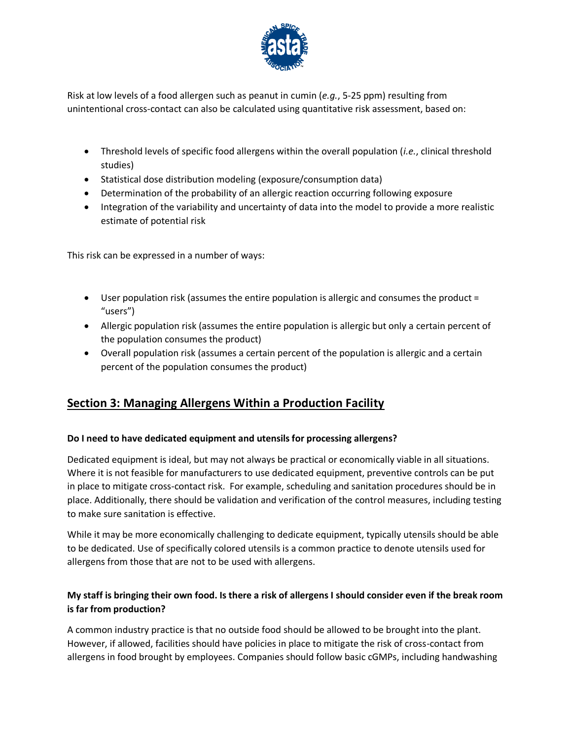

Risk at low levels of a food allergen such as peanut in cumin (*e.g.*, 5-25 ppm) resulting from unintentional cross-contact can also be calculated using quantitative risk assessment, based on:

- Threshold levels of specific food allergens within the overall population (*i.e.*, clinical threshold studies)
- Statistical dose distribution modeling (exposure/consumption data)
- Determination of the probability of an allergic reaction occurring following exposure
- Integration of the variability and uncertainty of data into the model to provide a more realistic estimate of potential risk

This risk can be expressed in a number of ways:

- User population risk (assumes the entire population is allergic and consumes the product = "users")
- Allergic population risk (assumes the entire population is allergic but only a certain percent of the population consumes the product)
- Overall population risk (assumes a certain percent of the population is allergic and a certain percent of the population consumes the product)

# **Section 3: Managing Allergens Within a Production Facility**

#### **Do I need to have dedicated equipment and utensils for processing allergens?**

Dedicated equipment is ideal, but may not always be practical or economically viable in all situations. Where it is not feasible for manufacturers to use dedicated equipment, preventive controls can be put in place to mitigate cross-contact risk. For example, scheduling and sanitation procedures should be in place. Additionally, there should be validation and verification of the control measures, including testing to make sure sanitation is effective.

While it may be more economically challenging to dedicate equipment, typically utensils should be able to be dedicated. Use of specifically colored utensils is a common practice to denote utensils used for allergens from those that are not to be used with allergens.

#### **My staff is bringing their own food. Is there a risk of allergens I should consider even if the break room is far from production?**

A common industry practice is that no outside food should be allowed to be brought into the plant. However, if allowed, facilities should have policies in place to mitigate the risk of cross-contact from allergens in food brought by employees. Companies should follow basic cGMPs, including handwashing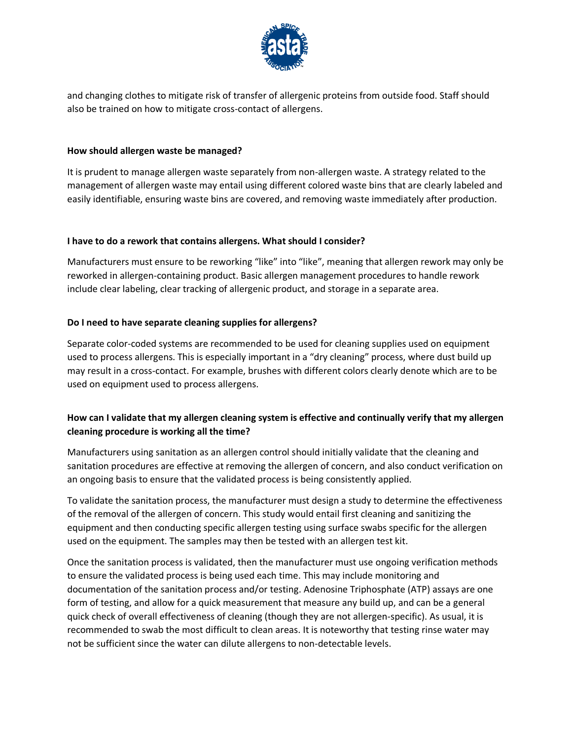

and changing clothes to mitigate risk of transfer of allergenic proteins from outside food. Staff should also be trained on how to mitigate cross-contact of allergens.

#### **How should allergen waste be managed?**

It is prudent to manage allergen waste separately from non-allergen waste. A strategy related to the management of allergen waste may entail using different colored waste bins that are clearly labeled and easily identifiable, ensuring waste bins are covered, and removing waste immediately after production.

#### **I have to do a rework that contains allergens. What should I consider?**

Manufacturers must ensure to be reworking "like" into "like", meaning that allergen rework may only be reworked in allergen-containing product. Basic allergen management procedures to handle rework include clear labeling, clear tracking of allergenic product, and storage in a separate area.

#### **Do I need to have separate cleaning supplies for allergens?**

Separate color-coded systems are recommended to be used for cleaning supplies used on equipment used to process allergens. This is especially important in a "dry cleaning" process, where dust build up may result in a cross-contact. For example, brushes with different colors clearly denote which are to be used on equipment used to process allergens.

#### **How can I validate that my allergen cleaning system is effective and continually verify that my allergen cleaning procedure is working all the time?**

Manufacturers using sanitation as an allergen control should initially validate that the cleaning and sanitation procedures are effective at removing the allergen of concern, and also conduct verification on an ongoing basis to ensure that the validated process is being consistently applied.

To validate the sanitation process, the manufacturer must design a study to determine the effectiveness of the removal of the allergen of concern. This study would entail first cleaning and sanitizing the equipment and then conducting specific allergen testing using surface swabs specific for the allergen used on the equipment. The samples may then be tested with an allergen test kit.

Once the sanitation process is validated, then the manufacturer must use ongoing verification methods to ensure the validated process is being used each time. This may include monitoring and documentation of the sanitation process and/or testing. Adenosine Triphosphate (ATP) assays are one form of testing, and allow for a quick measurement that measure any build up, and can be a general quick check of overall effectiveness of cleaning (though they are not allergen-specific). As usual, it is recommended to swab the most difficult to clean areas. It is noteworthy that testing rinse water may not be sufficient since the water can dilute allergens to non-detectable levels.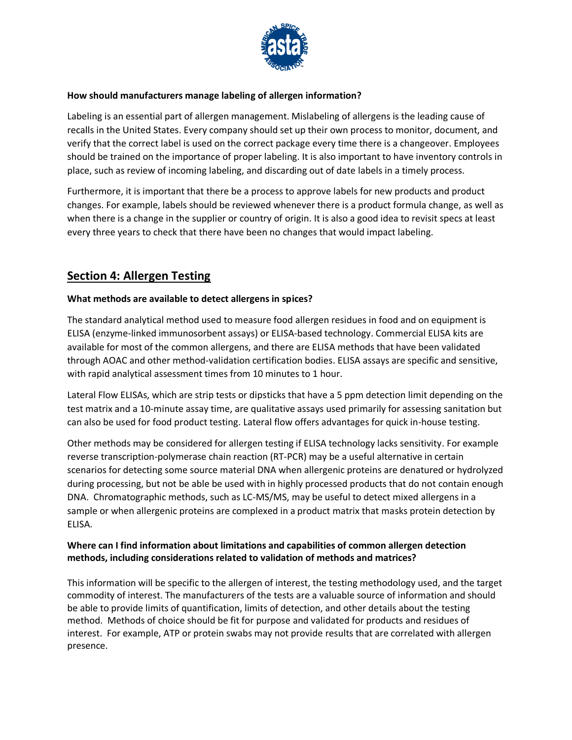

#### **How should manufacturers manage labeling of allergen information?**

Labeling is an essential part of allergen management. Mislabeling of allergens is the leading cause of recalls in the United States. Every company should set up their own process to monitor, document, and verify that the correct label is used on the correct package every time there is a changeover. Employees should be trained on the importance of proper labeling. It is also important to have inventory controls in place, such as review of incoming labeling, and discarding out of date labels in a timely process.

Furthermore, it is important that there be a process to approve labels for new products and product changes. For example, labels should be reviewed whenever there is a product formula change, as well as when there is a change in the supplier or country of origin. It is also a good idea to revisit specs at least every three years to check that there have been no changes that would impact labeling.

## **Section 4: Allergen Testing**

#### **What methods are available to detect allergens in spices?**

The standard analytical method used to measure food allergen residues in food and on equipment is ELISA (enzyme-linked immunosorbent assays) or ELISA-based technology. Commercial ELISA kits are available for most of the common allergens, and there are ELISA methods that have been validated through AOAC and other method-validation certification bodies. ELISA assays are specific and sensitive, with rapid analytical assessment times from 10 minutes to 1 hour.

Lateral Flow ELISAs, which are strip tests or dipsticks that have a 5 ppm detection limit depending on the test matrix and a 10-minute assay time, are qualitative assays used primarily for assessing sanitation but can also be used for food product testing. Lateral flow offers advantages for quick in-house testing.

Other methods may be considered for allergen testing if ELISA technology lacks sensitivity. For example reverse transcription-polymerase chain reaction (RT-PCR) may be a useful alternative in certain scenarios for detecting some source material DNA when allergenic proteins are denatured or hydrolyzed during processing, but not be able be used with in highly processed products that do not contain enough DNA. Chromatographic methods, such as LC-MS/MS, may be useful to detect mixed allergens in a sample or when allergenic proteins are complexed in a product matrix that masks protein detection by ELISA.

#### **Where can I find information about limitations and capabilities of common allergen detection methods, including considerations related to validation of methods and matrices?**

This information will be specific to the allergen of interest, the testing methodology used, and the target commodity of interest. The manufacturers of the tests are a valuable source of information and should be able to provide limits of quantification, limits of detection, and other details about the testing method. Methods of choice should be fit for purpose and validated for products and residues of interest. For example, ATP or protein swabs may not provide results that are correlated with allergen presence.